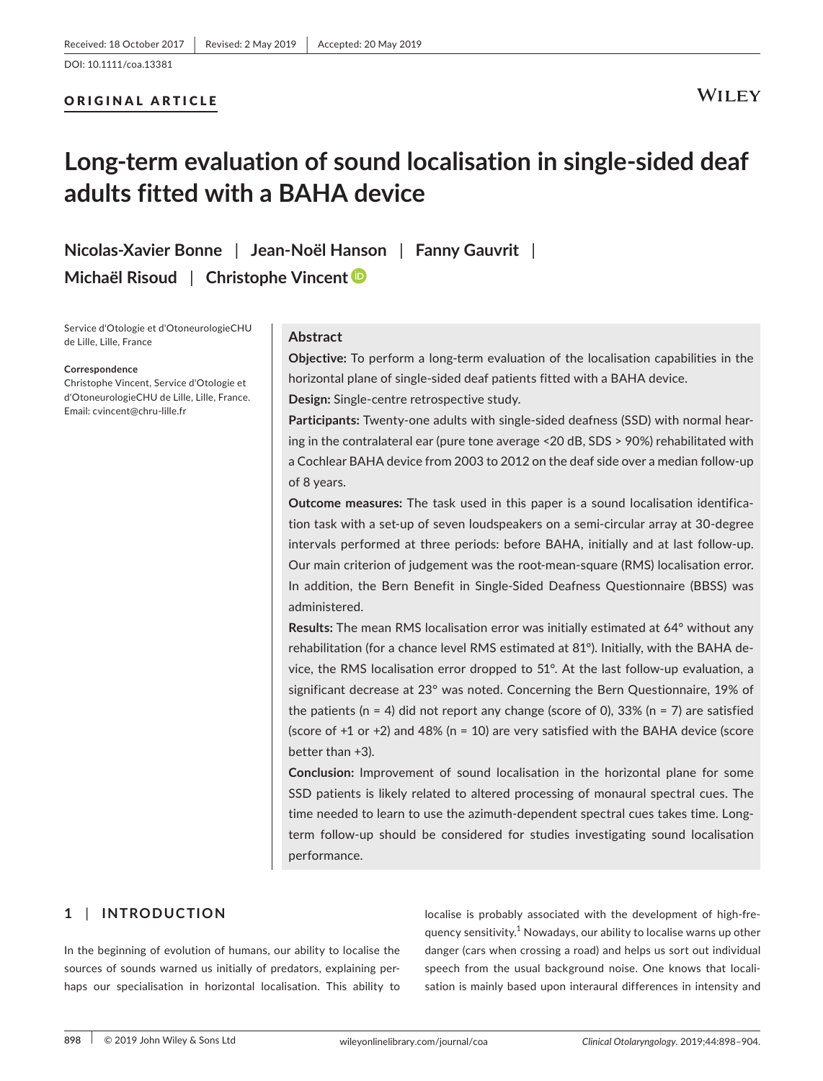## ORIGINAL ARTICLE

# **WILEY**

# **Long‐term evaluation of sound localisation in single‐sided deaf adults fitted with a BAHA device**

**Nicolas‐Xavier Bonne** | **Jean‐Noël Hanson** | **Fanny Gauvrit** | **Michaël Risoud** | **Christophe Vincent**

Service d'Otologie et d'OtoneurologieCHU de Lille, Lille, France

#### **Correspondence**

Christophe Vincent, Service d'Otologie et d'OtoneurologieCHU de Lille, Lille, France. Email: [cvincent@chru-lille.fr](mailto:cvincent@chru-lille.fr)

### **Abstract**

**Objective:** To perform a long‐term evaluation of the localisation capabilities in the horizontal plane of single‐sided deaf patients fitted with a BAHA device. **Design:** Single‐centre retrospective study.

**Participants:** Twenty‐one adults with single‐sided deafness (SSD) with normal hear‐ ing in the contralateral ear (pure tone average <20 dB, SDS > 90%) rehabilitated with a Cochlear BAHA device from 2003 to 2012 on the deaf side over a median follow‐up of 8 years.

**Outcome measures:** The task used in this paper is a sound localisation identifica‐ tion task with a set‐up of seven loudspeakers on a semi‐circular array at 30‐degree intervals performed at three periods: before BAHA, initially and at last follow‐up. Our main criterion of judgement was the root-mean-square (RMS) localisation error. In addition, the Bern Benefit in Single‐Sided Deafness Questionnaire (BBSS) was administered.

**Results:** The mean RMS localisation error was initially estimated at 64° without any rehabilitation (for a chance level RMS estimated at 81°). Initially, with the BAHA de‐ vice, the RMS localisation error dropped to 51°. At the last follow‐up evaluation, a significant decrease at 23° was noted. Concerning the Bern Questionnaire, 19% of the patients (n = 4) did not report any change (score of 0), 33% (n = 7) are satisfied (score of  $+1$  or  $+2$ ) and 48% (n = 10) are very satisfied with the BAHA device (score better than +3).

**Conclusion:** Improvement of sound localisation in the horizontal plane for some SSD patients is likely related to altered processing of monaural spectral cues. The time needed to learn to use the azimuth-dependent spectral cues takes time. Longterm follow‐up should be considered for studies investigating sound localisation performance.

# **1** | **INTRODUCTION**

In the beginning of evolution of humans, our ability to localise the sources of sounds warned us initially of predators, explaining per‐ haps our specialisation in horizontal localisation. This ability to localise is probably associated with the development of high‐fre‐ quency sensitivity.<sup>1</sup> Nowadays, our ability to localise warns up other danger (cars when crossing a road) and helps us sort out individual speech from the usual background noise. One knows that localisation is mainly based upon interaural differences in intensity and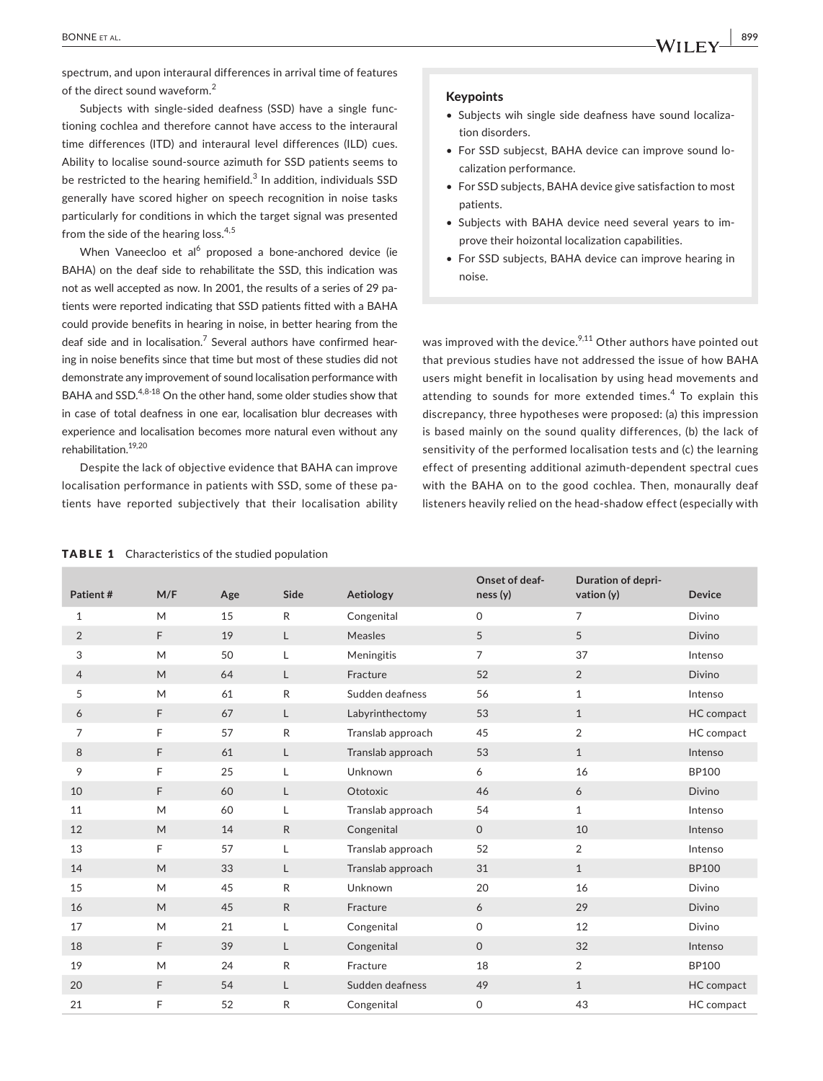spectrum, and upon interaural differences in arrival time of features of the direct sound waveform.<sup>2</sup>

Subjects with single-sided deafness (SSD) have a single functioning cochlea and therefore cannot have access to the interaural time differences (ITD) and interaural level differences (ILD) cues. Ability to localise sound‐source azimuth for SSD patients seems to be restricted to the hearing hemifield. $^3$  In addition, individuals SSD generally have scored higher on speech recognition in noise tasks particularly for conditions in which the target signal was presented from the side of the hearing loss.<sup>4,5</sup>

When Vaneecloo et al<sup>6</sup> proposed a bone-anchored device (ie BAHA) on the deaf side to rehabilitate the SSD, this indication was not as well accepted as now. In 2001, the results of a series of 29 patients were reported indicating that SSD patients fitted with a BAHA could provide benefits in hearing in noise, in better hearing from the deaf side and in localisation.<sup>7</sup> Several authors have confirmed hearing in noise benefits since that time but most of these studies did not demonstrate any improvement of sound localisation performance with BAHA and SSD.<sup>4,8-18</sup> On the other hand, some older studies show that in case of total deafness in one ear, localisation blur decreases with experience and localisation becomes more natural even without any rehabilitation.19,20

Despite the lack of objective evidence that BAHA can improve localisation performance in patients with SSD, some of these pa‐ tients have reported subjectively that their localisation ability

#### Keypoints

- Subjects wih single side deafness have sound localiza‐ tion disorders.
- For SSD subjecst, BAHA device can improve sound lo‐ calization performance.
- For SSD subjects, BAHA device give satisfaction to most patients.
- Subjects with BAHA device need several years to im‐ prove their hoizontal localization capabilities.
- For SSD subjects, BAHA device can improve hearing in noise.

was improved with the device.<sup>9,11</sup> Other authors have pointed out that previous studies have not addressed the issue of how BAHA users might benefit in localisation by using head movements and attending to sounds for more extended times.<sup>4</sup> To explain this discrepancy, three hypotheses were proposed: (a) this impression is based mainly on the sound quality differences, (b) the lack of sensitivity of the performed localisation tests and (c) the learning effect of presenting additional azimuth‐dependent spectral cues with the BAHA on to the good cochlea. Then, monaurally deaf listeners heavily relied on the head‐shadow effect (especially with

|  | <b>TABLE 1</b> Characteristics of the studied population |  |  |
|--|----------------------------------------------------------|--|--|
|--|----------------------------------------------------------|--|--|

| Patient#       | M/F | Age | Side         | Aetiology         | Onset of deaf-<br>ness(y) | Duration of depri-<br>vation $(y)$ | <b>Device</b> |
|----------------|-----|-----|--------------|-------------------|---------------------------|------------------------------------|---------------|
| $\mathbf{1}$   | M   | 15  | $\mathsf{R}$ | Congenital        | $\mathsf{O}\xspace$       | $\overline{7}$                     | Divino        |
| 2              | F   | 19  | L            | Measles           | 5                         | 5                                  | <b>Divino</b> |
| 3              | M   | 50  | Г            | Meningitis        | $\overline{7}$            | 37                                 | Intenso       |
| $\overline{4}$ | M   | 64  | L            | Fracture          | 52                        | 2                                  | <b>Divino</b> |
| 5              | M   | 61  | ${\sf R}$    | Sudden deafness   | 56                        | $\mathbf{1}$                       | Intenso       |
| 6              | F   | 67  | L            | Labyrinthectomy   | 53                        | $\mathbf{1}$                       | HC compact    |
| 7              | F   | 57  | ${\sf R}$    | Translab approach | 45                        | 2                                  | HC compact    |
| 8              | F   | 61  | L            | Translab approach | 53                        | $\mathbf{1}$                       | Intenso       |
| 9              | F   | 25  | L            | Unknown           | 6                         | 16                                 | <b>BP100</b>  |
| 10             | F   | 60  | L            | Ototoxic          | 46                        | 6                                  | Divino        |
| 11             | M   | 60  | Г            | Translab approach | 54                        | $\mathbf{1}$                       | Intenso       |
| 12             | M   | 14  | $\mathsf{R}$ | Congenital        | $\mathsf O$               | 10                                 | Intenso       |
| 13             | F   | 57  | Г            | Translab approach | 52                        | $\overline{2}$                     | Intenso       |
| 14             | M   | 33  | L            | Translab approach | 31                        | $\mathbf{1}$                       | <b>BP100</b>  |
| 15             | M   | 45  | ${\sf R}$    | Unknown           | 20                        | 16                                 | Divino        |
| 16             | M   | 45  | ${\sf R}$    | Fracture          | 6                         | 29                                 | <b>Divino</b> |
| 17             | M   | 21  | L            | Congenital        | $\mathsf{O}$              | 12                                 | Divino        |
| 18             | F   | 39  | $\mathsf{L}$ | Congenital        | $\mathsf{O}\xspace$       | 32                                 | Intenso       |
| 19             | M   | 24  | ${\sf R}$    | Fracture          | 18                        | $\overline{2}$                     | <b>BP100</b>  |
| 20             | F   | 54  | L            | Sudden deafness   | 49                        | $\mathbf{1}$                       | HC compact    |
| 21             | F   | 52  | R            | Congenital        | $\mathsf{O}$              | 43                                 | HC compact    |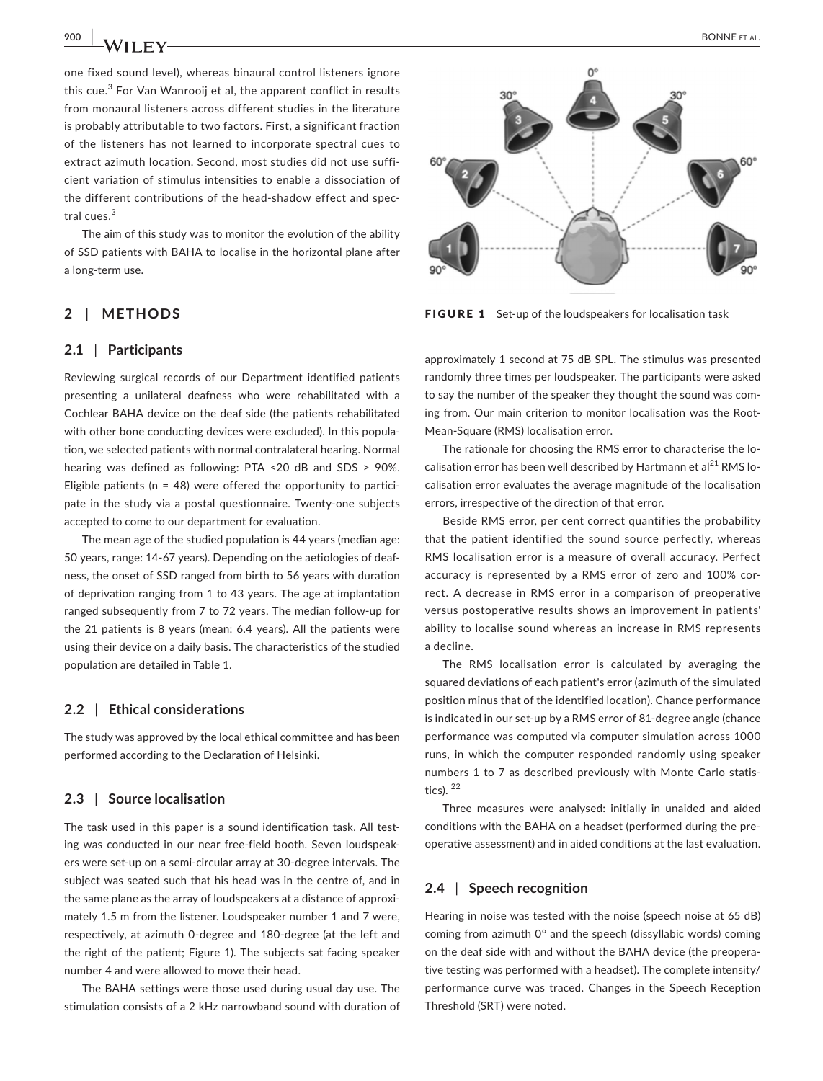one fixed sound level), whereas binaural control listeners ignore this cue.<sup>3</sup> For Van Wanrooij et al, the apparent conflict in results from monaural listeners across different studies in the literature is probably attributable to two factors. First, a significant fraction of the listeners has not learned to incorporate spectral cues to extract azimuth location. Second, most studies did not use suffi‐ cient variation of stimulus intensities to enable a dissociation of the different contributions of the head‐shadow effect and spec‐ tral cues.<sup>3</sup>

The aim of this study was to monitor the evolution of the ability of SSD patients with BAHA to localise in the horizontal plane after a long‐term use.

# **2** | **METHODS**

#### **2.1** | **Participants**

Reviewing surgical records of our Department identified patients presenting a unilateral deafness who were rehabilitated with a Cochlear BAHA device on the deaf side (the patients rehabilitated with other bone conducting devices were excluded). In this population, we selected patients with normal contralateral hearing. Normal hearing was defined as following: PTA <20 dB and SDS > 90%. Eligible patients ( $n = 48$ ) were offered the opportunity to participate in the study via a postal questionnaire. Twenty‐one subjects accepted to come to our department for evaluation.

The mean age of the studied population is 44 years (median age: 50 years, range: 14‐67 years). Depending on the aetiologies of deaf‐ ness, the onset of SSD ranged from birth to 56 years with duration of deprivation ranging from 1 to 43 years. The age at implantation ranged subsequently from 7 to 72 years. The median follow‐up for the 21 patients is 8 years (mean: 6.4 years). All the patients were using their device on a daily basis. The characteristics of the studied population are detailed in Table 1.

#### **2.2** | **Ethical considerations**

The study was approved by the local ethical committee and has been performed according to the Declaration of Helsinki.

### **2.3** | **Source localisation**

The task used in this paper is a sound identification task. All test‐ ing was conducted in our near free‐field booth. Seven loudspeak‐ ers were set-up on a semi-circular array at 30-degree intervals. The subject was seated such that his head was in the centre of, and in the same plane as the array of loudspeakers at a distance of approxi‐ mately 1.5 m from the listener. Loudspeaker number 1 and 7 were, respectively, at azimuth 0‐degree and 180‐degree (at the left and the right of the patient; Figure 1). The subjects sat facing speaker number 4 and were allowed to move their head.

The BAHA settings were those used during usual day use. The stimulation consists of a 2 kHz narrowband sound with duration of



FIGURE 1 Set-up of the loudspeakers for localisation task

approximately 1 second at 75 dB SPL. The stimulus was presented randomly three times per loudspeaker. The participants were asked to say the number of the speaker they thought the sound was com‐ ing from. Our main criterion to monitor localisation was the Root-Mean‐Square (RMS) localisation error.

The rationale for choosing the RMS error to characterise the lo‐ calisation error has been well described by Hartmann et al<sup>21</sup> RMS localisation error evaluates the average magnitude of the localisation errors, irrespective of the direction of that error.

Beside RMS error, per cent correct quantifies the probability that the patient identified the sound source perfectly, whereas RMS localisation error is a measure of overall accuracy. Perfect accuracy is represented by a RMS error of zero and 100% cor‐ rect. A decrease in RMS error in a comparison of preoperative versus postoperative results shows an improvement in patients' ability to localise sound whereas an increase in RMS represents a decline.

The RMS localisation error is calculated by averaging the squared deviations of each patient's error (azimuth of the simulated position minus that of the identified location). Chance performance is indicated in our set-up by a RMS error of 81-degree angle (chance performance was computed via computer simulation across 1000 runs, in which the computer responded randomly using speaker numbers 1 to 7 as described previously with Monte Carlo statis‐ tics).  $22$ 

Three measures were analysed: initially in unaided and aided conditions with the BAHA on a headset (performed during the pre‐ operative assessment) and in aided conditions at the last evaluation.

### **2.4** | **Speech recognition**

Hearing in noise was tested with the noise (speech noise at 65 dB) coming from azimuth 0° and the speech (dissyllabic words) coming on the deaf side with and without the BAHA device (the preopera‐ tive testing was performed with a headset). The complete intensity/ performance curve was traced. Changes in the Speech Reception Threshold (SRT) were noted.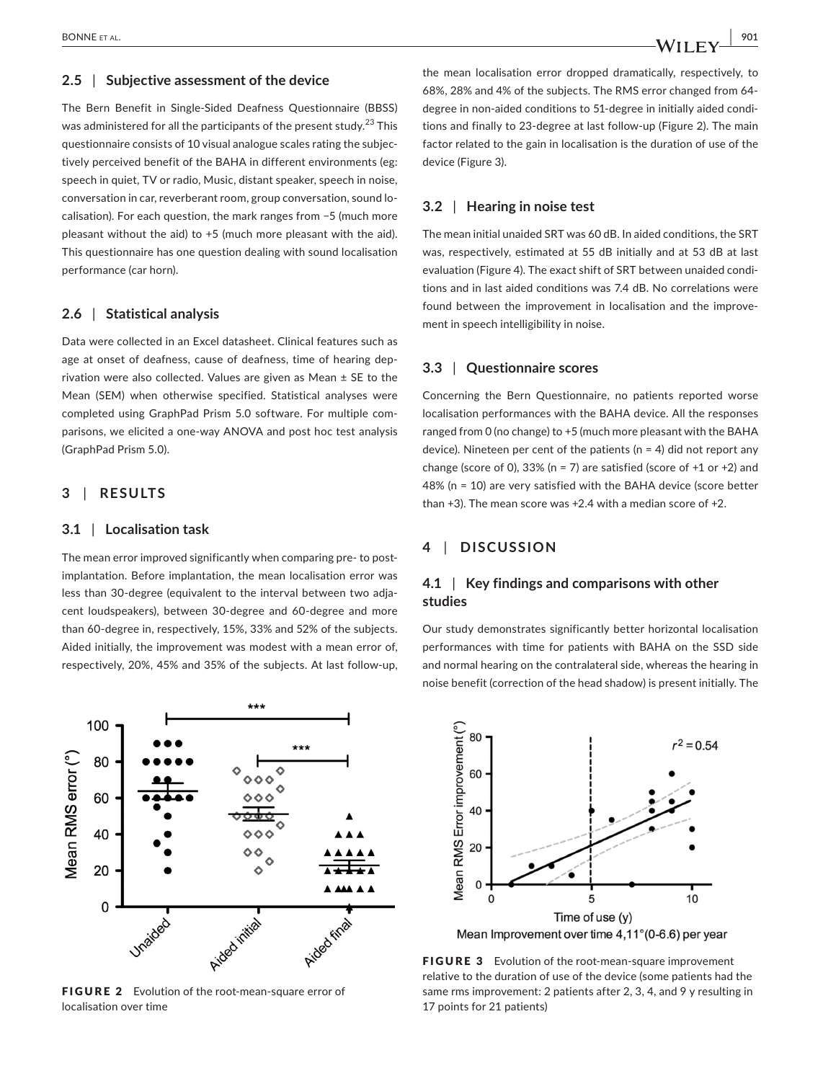### **2.5** | **Subjective assessment of the device**

The Bern Benefit in Single‐Sided Deafness Questionnaire (BBSS) was administered for all the participants of the present study.<sup>23</sup> This questionnaire consists of 10 visual analogue scales rating the subjec‐ tively perceived benefit of the BAHA in different environments (eg: speech in quiet, TV or radio, Music, distant speaker, speech in noise, conversation in car, reverberant room, group conversation, sound lo‐ calisation). For each question, the mark ranges from −5 (much more pleasant without the aid) to +5 (much more pleasant with the aid). This questionnaire has one question dealing with sound localisation performance (car horn).

# **2.6** | **Statistical analysis**

Data were collected in an Excel datasheet. Clinical features such as age at onset of deafness, cause of deafness, time of hearing deprivation were also collected. Values are given as Mean ± SE to the Mean (SEM) when otherwise specified. Statistical analyses were completed using GraphPad Prism 5.0 software. For multiple com‐ parisons, we elicited a one‐way ANOVA and post hoc test analysis (GraphPad Prism 5.0).

# **3** | **RESULTS**

#### **3.1** | **Localisation task**

The mean error improved significantly when comparing pre- to postimplantation. Before implantation, the mean localisation error was less than 30‐degree (equivalent to the interval between two adja‐ cent loudspeakers), between 30‐degree and 60‐degree and more than 60‐degree in, respectively, 15%, 33% and 52% of the subjects. Aided initially, the improvement was modest with a mean error of, respectively, 20%, 45% and 35% of the subjects. At last follow‐up,



FIGURE 2 Evolution of the root-mean-square error of localisation over time

the mean localisation error dropped dramatically, respectively, to 68%, 28% and 4% of the subjects. The RMS error changed from 64‐ degree in non‐aided conditions to 51‐degree in initially aided condi‐ tions and finally to 23‐degree at last follow‐up (Figure 2). The main factor related to the gain in localisation is the duration of use of the device (Figure 3).

#### **3.2** | **Hearing in noise test**

The mean initial unaided SRT was 60 dB. In aided conditions, the SRT was, respectively, estimated at 55 dB initially and at 53 dB at last evaluation (Figure 4). The exact shift of SRT between unaided condi‐ tions and in last aided conditions was 7.4 dB. No correlations were found between the improvement in localisation and the improve‐ ment in speech intelligibility in noise.

# **3.3** | **Questionnaire scores**

Concerning the Bern Questionnaire, no patients reported worse localisation performances with the BAHA device. All the responses ranged from 0 (no change) to +5 (much more pleasant with the BAHA device). Nineteen per cent of the patients ( $n = 4$ ) did not report any change (score of 0), 33% (n = 7) are satisfied (score of  $+1$  or  $+2$ ) and 48% (n = 10) are very satisfied with the BAHA device (score better than +3). The mean score was +2.4 with a median score of +2.

# **4** | **DISCUSSION**

# **4.1** | **Key findings and comparisons with other studies**

Our study demonstrates significantly better horizontal localisation performances with time for patients with BAHA on the SSD side and normal hearing on the contralateral side, whereas the hearing in noise benefit (correction of the head shadow) is present initially. The



FIGURE 3 Evolution of the root-mean-square improvement relative to the duration of use of the device (some patients had the same rms improvement: 2 patients after 2, 3, 4, and 9 y resulting in 17 points for 21 patients)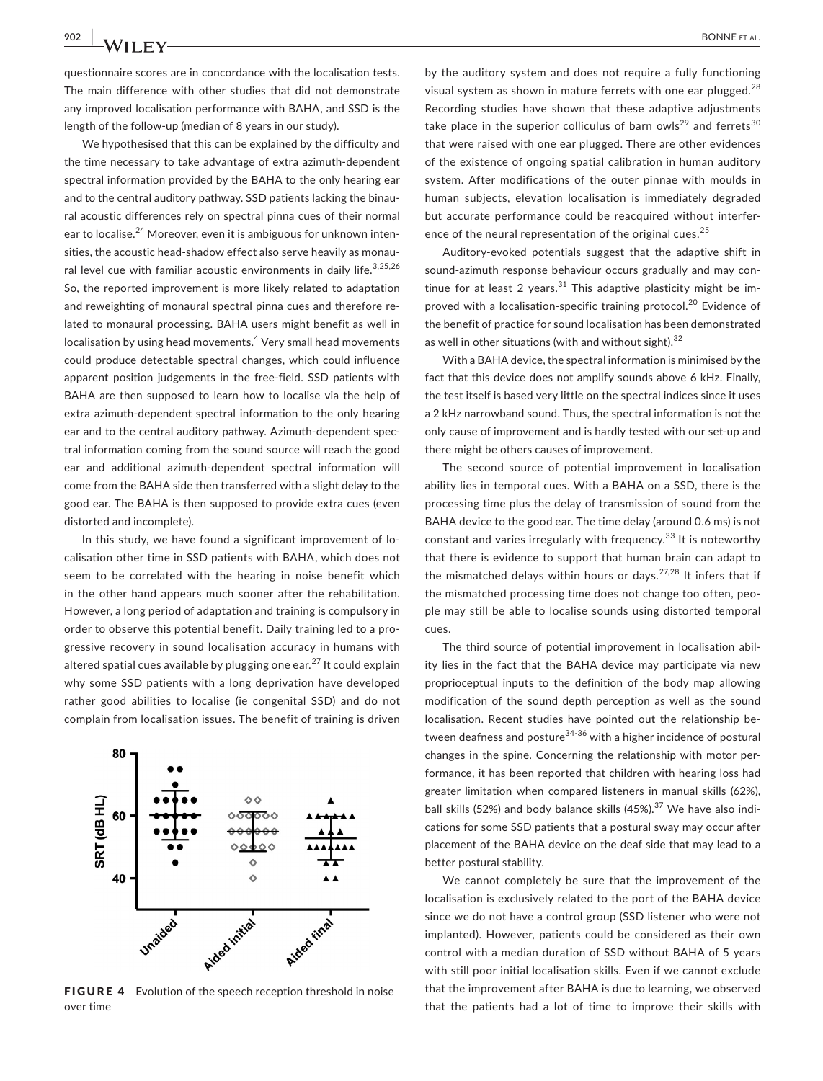**902 |**  BONNE et al.

questionnaire scores are in concordance with the localisation tests. The main difference with other studies that did not demonstrate any improved localisation performance with BAHA, and SSD is the length of the follow-up (median of 8 years in our study).

We hypothesised that this can be explained by the difficulty and the time necessary to take advantage of extra azimuth‐dependent spectral information provided by the BAHA to the only hearing ear and to the central auditory pathway. SSD patients lacking the binaural acoustic differences rely on spectral pinna cues of their normal ear to localise.<sup>24</sup> Moreover, even it is ambiguous for unknown intensities, the acoustic head‐shadow effect also serve heavily as monau‐ ral level cue with familiar acoustic environments in daily life.<sup>3,25,26</sup> So, the reported improvement is more likely related to adaptation and reweighting of monaural spectral pinna cues and therefore related to monaural processing. BAHA users might benefit as well in localisation by using head movements.<sup>4</sup> Very small head movements could produce detectable spectral changes, which could influence apparent position judgements in the free‐field. SSD patients with BAHA are then supposed to learn how to localise via the help of extra azimuth-dependent spectral information to the only hearing ear and to the central auditory pathway. Azimuth-dependent spectral information coming from the sound source will reach the good ear and additional azimuth‐dependent spectral information will come from the BAHA side then transferred with a slight delay to the good ear. The BAHA is then supposed to provide extra cues (even distorted and incomplete).

In this study, we have found a significant improvement of lo‐ calisation other time in SSD patients with BAHA, which does not seem to be correlated with the hearing in noise benefit which in the other hand appears much sooner after the rehabilitation. However, a long period of adaptation and training is compulsory in order to observe this potential benefit. Daily training led to a pro‐ gressive recovery in sound localisation accuracy in humans with altered spatial cues available by plugging one ear.<sup>27</sup> It could explain why some SSD patients with a long deprivation have developed rather good abilities to localise (ie congenital SSD) and do not complain from localisation issues. The benefit of training is driven



FIGURE 4 Evolution of the speech reception threshold in noise over time

by the auditory system and does not require a fully functioning visual system as shown in mature ferrets with one ear plugged. $^{28}$ Recording studies have shown that these adaptive adjustments take place in the superior colliculus of barn owls<sup>29</sup> and ferrets<sup>30</sup> that were raised with one ear plugged. There are other evidences of the existence of ongoing spatial calibration in human auditory system. After modifications of the outer pinnae with moulds in human subjects, elevation localisation is immediately degraded but accurate performance could be reacquired without interfer‐ ence of the neural representation of the original cues.<sup>25</sup>

Auditory‐evoked potentials suggest that the adaptive shift in sound-azimuth response behaviour occurs gradually and may continue for at least 2 years.<sup>31</sup> This adaptive plasticity might be improved with a localisation-specific training protocol.<sup>20</sup> Evidence of the benefit of practice for sound localisation has been demonstrated as well in other situations (with and without sight).<sup>32</sup>

With a BAHA device, the spectral information is minimised by the fact that this device does not amplify sounds above 6 kHz. Finally, the test itself is based very little on the spectral indices since it uses a 2 kHz narrowband sound. Thus, the spectral information is not the only cause of improvement and is hardly tested with our set‐up and there might be others causes of improvement.

The second source of potential improvement in localisation ability lies in temporal cues. With a BAHA on a SSD, there is the processing time plus the delay of transmission of sound from the BAHA device to the good ear. The time delay (around 0.6 ms) is not constant and varies irregularly with frequency.<sup>33</sup> It is noteworthy that there is evidence to support that human brain can adapt to the mismatched delays within hours or days.<sup>27,28</sup> It infers that if the mismatched processing time does not change too often, people may still be able to localise sounds using distorted temporal cues.

The third source of potential improvement in localisation abil‐ ity lies in the fact that the BAHA device may participate via new proprioceptual inputs to the definition of the body map allowing modification of the sound depth perception as well as the sound localisation. Recent studies have pointed out the relationship be‐ tween deafness and posture $34-36$  with a higher incidence of postural changes in the spine. Concerning the relationship with motor per‐ formance, it has been reported that children with hearing loss had greater limitation when compared listeners in manual skills (62%), ball skills (52%) and body balance skills (45%).<sup>37</sup> We have also indications for some SSD patients that a postural sway may occur after placement of the BAHA device on the deaf side that may lead to a better postural stability.

We cannot completely be sure that the improvement of the localisation is exclusively related to the port of the BAHA device since we do not have a control group (SSD listener who were not implanted). However, patients could be considered as their own control with a median duration of SSD without BAHA of 5 years with still poor initial localisation skills. Even if we cannot exclude that the improvement after BAHA is due to learning, we observed that the patients had a lot of time to improve their skills with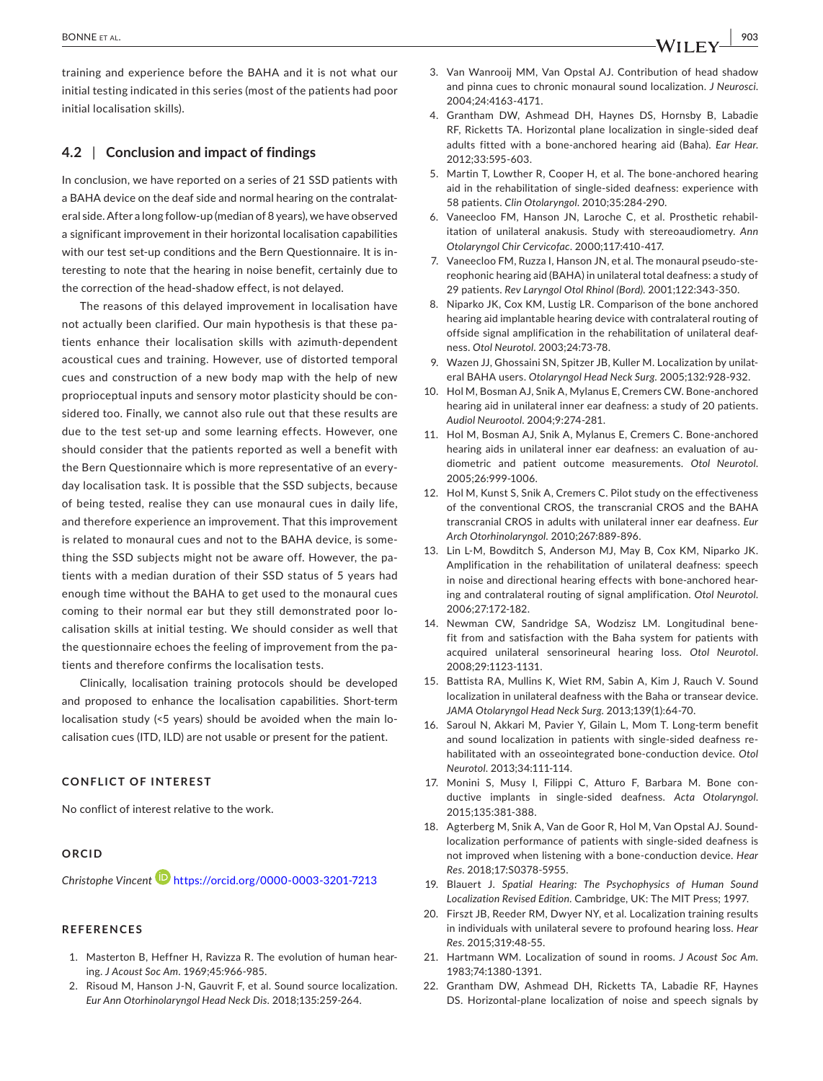training and experience before the BAHA and it is not what our initial testing indicated in this series (most of the patients had poor initial localisation skills).

# **4.2** | **Conclusion and impact of findings**

In conclusion, we have reported on a series of 21 SSD patients with a BAHA device on the deaf side and normal hearing on the contralat‐ eral side. After a long follow‐up (median of 8 years), we have observed a significant improvement in their horizontal localisation capabilities with our test set-up conditions and the Bern Questionnaire. It is interesting to note that the hearing in noise benefit, certainly due to the correction of the head‐shadow effect, is not delayed.

The reasons of this delayed improvement in localisation have not actually been clarified. Our main hypothesis is that these pa‐ tients enhance their localisation skills with azimuth‐dependent acoustical cues and training. However, use of distorted temporal cues and construction of a new body map with the help of new proprioceptual inputs and sensory motor plasticity should be considered too. Finally, we cannot also rule out that these results are due to the test set-up and some learning effects. However, one should consider that the patients reported as well a benefit with the Bern Questionnaire which is more representative of an every‐ day localisation task. It is possible that the SSD subjects, because of being tested, realise they can use monaural cues in daily life, and therefore experience an improvement. That this improvement is related to monaural cues and not to the BAHA device, is some‐ thing the SSD subjects might not be aware off. However, the pa‐ tients with a median duration of their SSD status of 5 years had enough time without the BAHA to get used to the monaural cues coming to their normal ear but they still demonstrated poor lo‐ calisation skills at initial testing. We should consider as well that the questionnaire echoes the feeling of improvement from the pa‐ tients and therefore confirms the localisation tests.

Clinically, localisation training protocols should be developed and proposed to enhance the localisation capabilities. Short-term localisation study (<5 years) should be avoided when the main lo‐ calisation cues (ITD, ILD) are not usable or present for the patient.

### **CONFLICT OF INTEREST**

No conflict of interest relative to the work.

### **ORCID**

*Christophe Vincent* <https://orcid.org/0000-0003-3201-7213>

### **REFERENCES**

- 1. Masterton B, Heffner H, Ravizza R. The evolution of human hear‐ ing. *J Acoust Soc Am*. 1969;45:966‐985.
- 2. Risoud M, Hanson J‐N, Gauvrit F, et al. Sound source localization. *Eur Ann Otorhinolaryngol Head Neck Dis*. 2018;135:259‐264.
- 3. Van Wanrooij MM, Van Opstal AJ. Contribution of head shadow and pinna cues to chronic monaural sound localization. *J Neurosci*. 2004;24:4163‐4171.
- 4. Grantham DW, Ashmead DH, Haynes DS, Hornsby B, Labadie RF, Ricketts TA. Horizontal plane localization in single‐sided deaf adults fitted with a bone‐anchored hearing aid (Baha). *Ear Hear*. 2012;33:595‐603.
- 5. Martin T, Lowther R, Cooper H, et al. The bone‐anchored hearing aid in the rehabilitation of single‐sided deafness: experience with 58 patients. *Clin Otolaryngol*. 2010;35:284‐290.
- 6. Vaneecloo FM, Hanson JN, Laroche C, et al. Prosthetic rehabil‐ itation of unilateral anakusis. Study with stereoaudiometry. *Ann Otolaryngol Chir Cervicofac*. 2000;117:410‐417.
- 7. Vaneecloo FM, Ruzza I, Hanson JN, et al. The monaural pseudo‐ste‐ reophonic hearing aid (BAHA) in unilateral total deafness: a study of 29 patients. *Rev Laryngol Otol Rhinol (Bord)*. 2001;122:343‐350.
- 8. Niparko JK, Cox KM, Lustig LR. Comparison of the bone anchored hearing aid implantable hearing device with contralateral routing of offside signal amplification in the rehabilitation of unilateral deaf‐ ness. *Otol Neurotol*. 2003;24:73‐78.
- 9. Wazen JJ, Ghossaini SN, Spitzer JB, Kuller M. Localization by unilateral BAHA users. *Otolaryngol Head Neck Surg*. 2005;132:928‐932.
- 10. Hol M, Bosman AJ, Snik A, Mylanus E, Cremers CW. Bone‐anchored hearing aid in unilateral inner ear deafness: a study of 20 patients. *Audiol Neurootol*. 2004;9:274‐281.
- 11. Hol M, Bosman AJ, Snik A, Mylanus E, Cremers C. Bone‐anchored hearing aids in unilateral inner ear deafness: an evaluation of audiometric and patient outcome measurements. *Otol Neurotol*. 2005;26:999‐1006.
- 12. Hol M, Kunst S, Snik A, Cremers C. Pilot study on the effectiveness of the conventional CROS, the transcranial CROS and the BAHA transcranial CROS in adults with unilateral inner ear deafness. *Eur Arch Otorhinolaryngol*. 2010;267:889‐896.
- 13. Lin L‐M, Bowditch S, Anderson MJ, May B, Cox KM, Niparko JK. Amplification in the rehabilitation of unilateral deafness: speech in noise and directional hearing effects with bone-anchored hearing and contralateral routing of signal amplification. *Otol Neurotol*. 2006;27:172‐182.
- 14. Newman CW, Sandridge SA, Wodzisz LM. Longitudinal bene‐ fit from and satisfaction with the Baha system for patients with acquired unilateral sensorineural hearing loss. *Otol Neurotol*. 2008;29:1123‐1131.
- 15. Battista RA, Mullins K, Wiet RM, Sabin A, Kim J, Rauch V. Sound localization in unilateral deafness with the Baha or transear device. *JAMA Otolaryngol Head Neck Surg*. 2013;139(1):64‐70.
- 16. Saroul N, Akkari M, Pavier Y, Gilain L, Mom T. Long‐term benefit and sound localization in patients with single‐sided deafness re‐ habilitated with an osseointegrated bone‐conduction device. *Otol Neurotol*. 2013;34:111‐114.
- 17. Monini S, Musy I, Filippi C, Atturo F, Barbara M. Bone con‐ ductive implants in single‐sided deafness. *Acta Otolaryngol*. 2015;135:381‐388.
- 18. Agterberg M, Snik A, Van de Goor R, Hol M, Van Opstal AJ. Sound‐ localization performance of patients with single‐sided deafness is not improved when listening with a bone‐conduction device. *Hear Res*. 2018;17:S0378‐5955.
- 19. Blauert J. *Spatial Hearing: The Psychophysics of Human Sound Localization Revised Edition*. Cambridge, UK: The MIT Press; 1997.
- 20. Firszt JB, Reeder RM, Dwyer NY, et al. Localization training results in individuals with unilateral severe to profound hearing loss. *Hear Res*. 2015;319:48‐55.
- 21. Hartmann WM. Localization of sound in rooms. *J Acoust Soc Am*. 1983;74:1380‐1391.
- 22. Grantham DW, Ashmead DH, Ricketts TA, Labadie RF, Haynes DS. Horizontal‐plane localization of noise and speech signals by